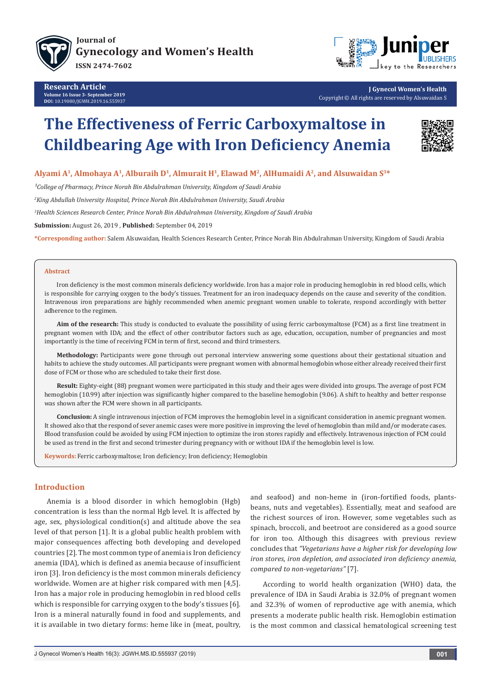



**J Gynecol Women's Health** Copyright © All rights are reserved by Alsuwaidan S

# **The Effectiveness of Ferric Carboxymaltose in Childbearing Age with Iron Deficiency Anemia**



# **Alyami A1, Almohaya A1, Alburaih D1, Almurait H1, Elawad M2, AlHumaidi A2, and Alsuwaidan S3\***

<sup>1</sup>College of Pharmacy, Prince Norah Bin Abdulrahman University, Kingdom of Saudi Arabia

*2 King Abdullah University Hospital, Prince Norah Bin Abdulrahman University, Saudi Arabia*

*3 Health Sciences Research Center, Prince Norah Bin Abdulrahman University, Kingdom of Saudi Arabia*

**Submission:** August 26, 2019 , **Published:** September 04, 2019

**\*Corresponding author:** Salem Alsuwaidan, Health Sciences Research Center, Prince Norah Bin Abdulrahman University, Kingdom of Saudi Arabia

#### **Abstract**

Iron deficiency is the most common minerals deficiency worldwide. Iron has a major role in producing hemoglobin in red blood cells, which is responsible for carrying oxygen to the body's tissues. Treatment for an iron inadequacy depends on the cause and severity of the condition. Intravenous iron preparations are highly recommended when anemic pregnant women unable to tolerate, respond accordingly with better adherence to the regimen.

**Aim of the research:** This study is conducted to evaluate the possibility of using ferric carboxymaltose (FCM) as a first line treatment in pregnant women with IDA; and the effect of other contributor factors such as age, education, occupation, number of pregnancies and most importantly is the time of receiving FCM in term of first, second and third trimesters.

**Methodology:** Participants were gone through out personal interview answering some questions about their gestational situation and habits to achieve the study outcomes. All participants were pregnant women with abnormal hemoglobin whose either already received their first dose of FCM or those who are scheduled to take their first dose.

**Result:** Eighty-eight (88) pregnant women were participated in this study and their ages were divided into groups. The average of post FCM hemoglobin (10.99) after injection was significantly higher compared to the baseline hemoglobin (9.06). A shift to healthy and better response was shown after the FCM were shown in all participants.

**Conclusion:** A single intravenous injection of FCM improves the hemoglobin level in a significant consideration in anemic pregnant women. It showed also that the respond of sever anemic cases were more positive in improving the level of hemoglobin than mild and/or moderate cases. Blood transfusion could be avoided by using FCM injection to optimize the iron stores rapidly and effectively. Intravenous injection of FCM could be used as trend in the first and second trimester during pregnancy with or without IDA if the hemoglobin level is low.

**Keywords:** Ferric carboxymaltose; Iron deficiency; Iron deficiency; Hemoglobin

# **Introduction**

Anemia is a blood disorder in which hemoglobin (Hgb) concentration is less than the normal Hgb level. It is affected by age, sex, physiological condition(s) and altitude above the sea level of that person [1]. It is a global public health problem with major consequences affecting both developing and developed countries [2]. The most common type of anemia is Iron deficiency anemia (IDA), which is defined as anemia because of insufficient iron [3]. Iron deficiency is the most common minerals deficiency worldwide. Women are at higher risk compared with men [4,5]. Iron has a major role in producing hemoglobin in red blood cells which is responsible for carrying oxygen to the body's tissues [6]. Iron is a mineral naturally found in food and supplements, and it is available in two dietary forms: heme like in (meat, poultry,

and seafood) and non-heme in (iron-fortified foods, plantsbeans, nuts and vegetables). Essentially, meat and seafood are the richest sources of iron. However, some vegetables such as spinach, broccoli, and beetroot are considered as a good source for iron too. Although this disagrees with previous review concludes that *"Vegetarians have a higher risk for developing low iron stores, iron depletion, and associated iron deficiency anemia, compared to non-vegetarians"* [7].

According to world health organization (WHO) data, the prevalence of IDA in Saudi Arabia is 32.0% of pregnant women and 32.3% of women of reproductive age with anemia, which presents a moderate public health risk. Hemoglobin estimation is the most common and classical hematological screening test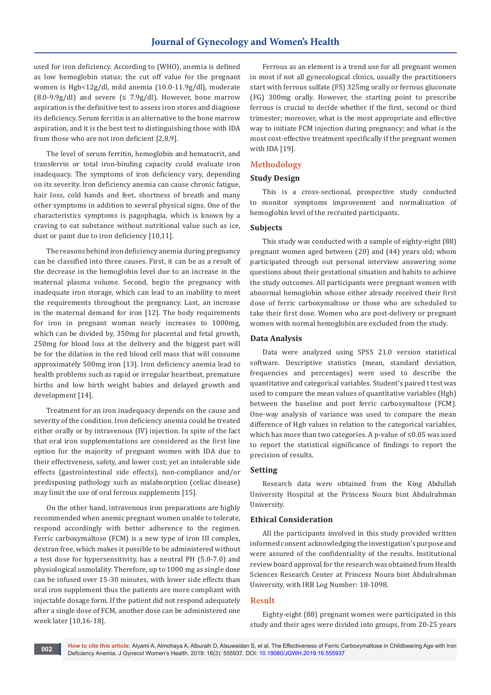used for iron deficiency. According to (WHO), anemia is defined as low hemoglobin status; the cut off value for the pregnant women is Hgb<12g/dl, mild anemia (10.0-11.9g/dl), moderate  $(8.0-9.9g/dl)$  and severe  $(≤ 7.9g/dl)$ . However, bone marrow aspiration is the definitive test to assess iron stores and diagnose its deficiency. Serum ferritin is an alternative to the bone marrow aspiration, and it is the best test to distinguishing those with IDA from those who are not iron deficient [2,8,9].

The level of serum ferritin, hemoglobin and hematocrit, and transferrin or total iron-binding capacity could evaluate iron inadequacy. The symptoms of iron deficiency vary, depending on its severity. Iron deficiency anemia can cause chronic fatigue, hair loss, cold hands and feet, shortness of breath and many other symptoms in addition to several physical signs. One of the characteristics symptoms is pagophagia, which is known by a craving to eat substance without nutritional value such as ice, dust or paint due to iron deficiency [10,11].

The reasons behind iron deficiency anemia during pregnancy can be classified into three causes. First, it can be as a result of the decrease in the hemoglobin level due to an increase in the maternal plasma volume. Second, begin the pregnancy with inadequate iron storage, which can lead to an inability to meet the requirements throughout the pregnancy. Last, an increase in the maternal demand for iron [12]. The body requirements for iron in pregnant woman nearly increases to 1000mg, which can be divided by, 350mg for placental and fetal growth, 250mg for blood loss at the delivery and the biggest part will be for the dilation in the red blood cell mass that will consume approximately 500mg iron [13]. Iron deficiency anemia lead to health problems such as rapid or irregular heartbeat, premature births and low birth weight babies and delayed growth and development [14].

Treatment for an iron inadequacy depends on the cause and severity of the condition. Iron deficiency anemia could be treated either orally or by intravenous (IV) injection. In spite of the fact that oral iron supplementations are considered as the first line option for the majority of pregnant women with IDA due to their effectiveness, safety, and lower cost; yet an intolerable side effects (gastrointestinal side effects), non-compliance and/or predisposing pathology such as malabsorption (celiac disease) may limit the use of oral ferrous supplements [15].

On the other hand, intravenous iron preparations are highly recommended when anemic pregnant women unable to tolerate, respond accordingly with better adherence to the regimen. Ferric carboxymaltose (FCM) is a new type of iron III complex, dextran free, which makes it possible to be administered without a test dose for hypersensitivity, has a neutral PH (5.0-7.0) and physiological osmolality. Therefore, up to 1000 mg as single dose can be infused over 15-30 minutes, with lower side effects than oral iron supplement thus the patients are more compliant with injectable dosage form. If the patient did not respond adequately after a single dose of FCM, another dose can be administered one week later [10,16-18].

Ferrous as an element is a trend use for all pregnant women in most if not all gynecological clinics, usually the practitioners start with ferrous sulfate (FS) 325mg orally or ferrous gluconate (FG) 300mg orally. However, the starting point to prescribe ferrous is crucial to decide whether if the first, second or third trimester; moreover, what is the most appropriate and effective way to initiate FCM injection during pregnancy; and what is the most cost-effective treatment specifically if the pregnant women with IDA [19].

## **Methodology**

## **Study Design**

This is a cross-sectional, prospective study conducted to monitor symptoms improvement and normalization of hemoglobin level of the recruited participants.

## **Subjects**

This study was conducted with a sample of eighty-eight (88) pregnant women aged between (20) and (44) years old; whom participated through out personal interview answering some questions about their gestational situation and habits to achieve the study outcomes. All participants were pregnant women with abnormal hemoglobin whose either already received their first dose of ferric carboxymaltose or those who are scheduled to take their first dose. Women who are post-delivery or pregnant women with normal hemoglobin are excluded from the study.

#### **Data Analysis**

Data were analyzed using SPSS 21.0 version statistical software. Descriptive statistics (mean, standard deviation, frequencies and percentages) were used to describe the quantitative and categorical variables. Student's paired t test was used to compare the mean values of quantitative variables (Hgb) between the baseline and post ferric carboxymaltose (FCM). One-way analysis of variance was used to compare the mean difference of Hgb values in relation to the categorical variables, which has more than two categories. A p-value of ≤0.05 was used to report the statistical significance of findings to report the precision of results.

### **Setting**

Research data were obtained from the King Abdullah University Hospital at the Princess Noura bint Abdulrahman University.

## **Ethical Consideration**

All the participants involved in this study provided written informed consent acknowledging the investigation's purpose and were assured of the confidentiality of the results. Institutional review board approval for the research was obtained from Health Sciences Research Center at Princess Noura bint Abdulrahman University, with IRB Log Number: 18-1098.

## **Result**

Eighty-eight (88) pregnant women were participated in this study and their ages were divided into groups, from 20-25 years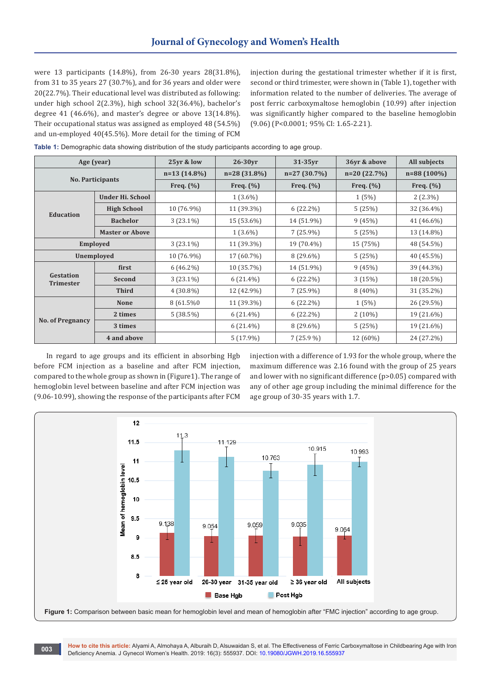were 13 participants (14.8%), from 26-30 years 28(31.8%), from 31 to 35 years 27 (30.7%), and for 36 years and older were 20(22.7%). Their educational level was distributed as following: under high school 2(2.3%), high school 32(36.4%), bachelor's degree 41 (46.6%), and master's degree or above 13(14.8%). Their occupational status was assigned as employed 48 (54.5%) and un-employed 40(45.5%). More detail for the timing of FCM

injection during the gestational trimester whether if it is first, second or third trimester, were shown in (Table 1), together with information related to the number of deliveries. The average of post ferric carboxymaltose hemoglobin (10.99) after injection was significantly higher compared to the baseline hemoglobin (9.06) (P<0.0001; 95% CI: 1.65-2.21).

|  |  |  |  |  | Table 1: Demographic data showing distribution of the study participants according to age group. |
|--|--|--|--|--|--------------------------------------------------------------------------------------------------|
|--|--|--|--|--|--------------------------------------------------------------------------------------------------|

|                               | Age (year)             |                | $26-30yr$     | $31-35yr$     | 36yr & above  | All subjects  |
|-------------------------------|------------------------|----------------|---------------|---------------|---------------|---------------|
| <b>No. Participants</b>       |                        | $n=13(14.8\%)$ | $n=28(31.8%)$ | $n=27(30.7%)$ | $n=20(22.7%)$ | $n=88(100\%)$ |
|                               |                        | Freq. $(\% )$  | Freq. $(\% )$ | Freq. $(\%)$  | Freq. $(\% )$ | Freq. $(\% )$ |
|                               | Under Hi. School       |                | $1(3.6\%)$    |               | 1(5%)         | $2(2.3\%)$    |
|                               | <b>High School</b>     | $10(76.9\%)$   | 11 (39.3%)    | $6(22.2\%)$   | 5(25%)        | 32 (36.4%)    |
| <b>Education</b>              | <b>Bachelor</b>        | $3(23.1\%)$    | 15 (53.6%)    | 14 (51.9%)    | 9(45%)        | 41 (46.6%)    |
|                               | <b>Master or Above</b> |                | $1(3.6\%)$    | $7(25.9\%)$   | 5(25%)        | 13 (14.8%)    |
| Employed                      |                        | $3(23.1\%)$    | 11 (39.3%)    | 19 (70.4%)    | 15 (75%)      | 48 (54.5%)    |
| Unemployed                    |                        | $10(76.9\%)$   | 17 (60.7%)    | $8(29.6\%)$   | 5(25%)        | 40 (45.5%)    |
|                               | first                  | $6(46.2\%)$    | 10 (35.7%)    | 14 (51.9%)    | 9(45%)        | 39 (44.3%)    |
| Gestation<br><b>Trimester</b> | Second                 | $3(23.1\%)$    | $6(21.4\%)$   | $6(22.2\%)$   | 3(15%)        | 18 (20.5%)    |
|                               | <b>Third</b>           | $4(30.8\%)$    | 12 (42.9%)    | $7(25.9\%)$   | $8(40\%)$     | 31 (35.2%)    |
| <b>No. of Pregnancy</b>       | <b>None</b>            | 8 (61.5%0)     | 11 (39.3%)    | $6(22.2\%)$   | 1(5%)         | 26 (29.5%)    |
|                               | 2 times                | 5(38.5%)       | $6(21.4\%)$   | $6(22.2\%)$   | $2(10\%)$     | 19 (21.6%)    |
|                               | 3 times                |                | $6(21.4\%)$   | $8(29.6\%)$   | 5(25%)        | 19 (21.6%)    |
|                               | 4 and above            |                | $5(17.9\%)$   | $7(25.9\%)$   | 12 (60%)      | 24 (27.2%)    |

In regard to age groups and its efficient in absorbing Hgb before FCM injection as a baseline and after FCM injection, compared to the whole group as shown in (Figure1). The range of hemoglobin level between baseline and after FCM injection was (9.06-10.99), showing the response of the participants after FCM

injection with a difference of 1.93 for the whole group, where the maximum difference was 2.16 found with the group of 25 years and lower with no significant difference (p>0.05) compared with any of other age group including the minimal difference for the age group of 30-35 years with 1.7.



**How to cite this article:** Alyami A, Almohaya A, Alburaih D, Alsuwaidan S, et al. The Effectiveness of Ferric Carboxymaltose in Childbearing Age with Iron Deficiency Anemia. J Gynecol Women's Health. 2019: 16(3): 555937. DOI: [10.19080/JGWH.2019.16.555937](http://dx.doi.org/10.19080/JGWH.2019.16.555937)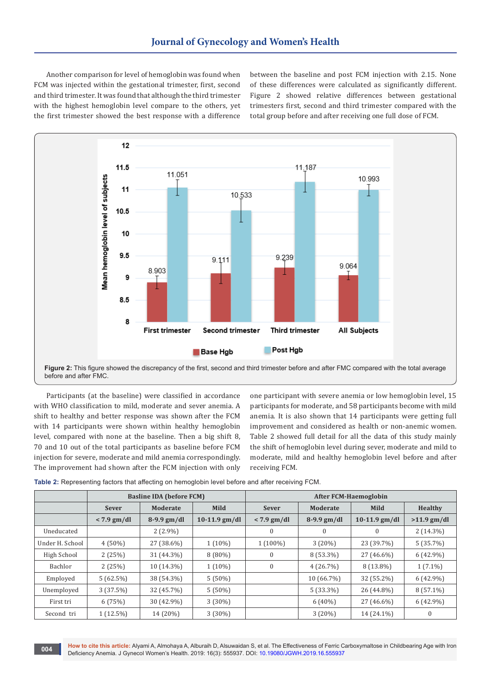Another comparison for level of hemoglobin was found when FCM was injected within the gestational trimester, first, second and third trimester. It was found that although the third trimester with the highest hemoglobin level compare to the others, yet the first trimester showed the best response with a difference

between the baseline and post FCM injection with 2.15. None of these differences were calculated as significantly different. Figure 2 showed relative differences between gestational trimesters first, second and third trimester compared with the total group before and after receiving one full dose of FCM.



**Figure 2:** This figure showed the discrepancy of the first, second and third trimester before and after FMC compared with the total average before and after FMC.

Participants (at the baseline) were classified in accordance with WHO classification to mild, moderate and sever anemia. A shift to healthy and better response was shown after the FCM with 14 participants were shown within healthy hemoglobin level, compared with none at the baseline. Then a big shift 8, 70 and 10 out of the total participants as baseline before FCM injection for severe, moderate and mild anemia correspondingly. The improvement had shown after the FCM injection with only

one participant with severe anemia or low hemoglobin level, 15 participants for moderate, and 58 participants become with mild anemia. It is also shown that 14 participants were getting full improvement and considered as health or non-anemic women. Table 2 showed full detail for all the data of this study mainly the shift of hemoglobin level during sever, moderate and mild to moderate, mild and healthy hemoglobin level before and after receiving FCM.

| Table 2: Representing factors that affecting on hemoglobin level before and after receiving FCM. |  |  |  |  |
|--------------------------------------------------------------------------------------------------|--|--|--|--|
|--------------------------------------------------------------------------------------------------|--|--|--|--|

|                 | <b>Basline IDA (before FCM)</b> |               |                 | <b>After FCM-Haemoglobin</b> |               |                 |                  |
|-----------------|---------------------------------|---------------|-----------------|------------------------------|---------------|-----------------|------------------|
|                 | <b>Sever</b>                    | Moderate      | Mild            | <b>Sever</b>                 | Moderate      | Mild            | <b>Healthy</b>   |
|                 | $< 7.9$ gm/dl                   | $8-9.9$ gm/dl | $10-11.9$ gm/dl | $< 7.9$ gm/dl                | $8-9.9$ gm/dl | $10-11.9$ gm/dl | $>11.9$ gm/dl    |
| Uneducated      |                                 | $2(2.9\%)$    |                 | $\mathbf{0}$                 | $\mathbf{0}$  | $\Omega$        | $2(14.3\%)$      |
| Under H. School | $4(50\%)$                       | 27 (38.6%)    | $1(10\%)$       | $1(100\%)$                   | 3(20%)        | 23 (39.7%)      | 5(35.7%)         |
| High School     | 2(25%)                          | 31 (44.3%)    | $8(80\%)$       | $\mathbf{0}$                 | $8(53.3\%)$   | 27 (46.6%)      | $6(42.9\%)$      |
| Bachlor         | 2(25%)                          | 10 (14.3%)    | $1(10\%)$       | $\bf{0}$                     | 4(26.7%)      | $8(13.8\%)$     | $1(7.1\%)$       |
| Employed        | 5(62.5%)                        | 38 (54.3%)    | $5(50\%)$       |                              | 10 (66.7%)    | 32 (55.2%)      | $6(42.9\%)$      |
| Unemployed      | 3(37.5%)                        | 32 (45.7%)    | $5(50\%)$       |                              | $5(33.3\%)$   | 26 (44.8%)      | $8(57.1\%)$      |
| First tri       | 6(75%)                          | 30 (42.9%)    | $3(30\%)$       |                              | $6(40\%)$     | 27 (46.6%)      | $6(42.9\%)$      |
| Second tri      | $1(12.5\%)$                     | 14 (20%)      | $3(30\%)$       |                              | 3(20%)        | 14 (24.1%)      | $\boldsymbol{0}$ |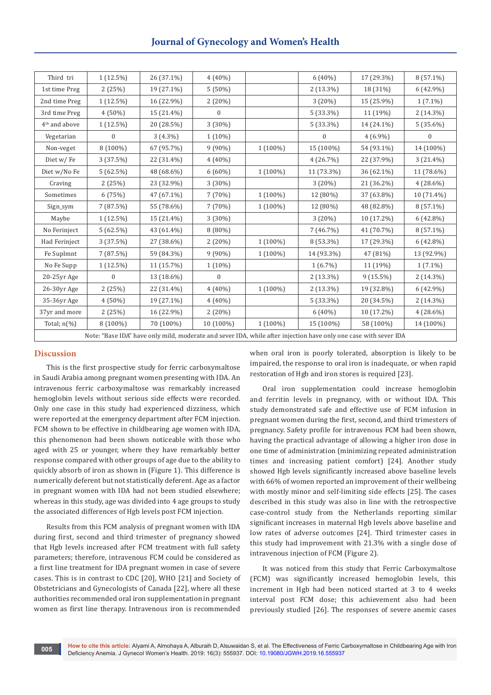| Third tri                                                                                                        | $1(12.5\%)$      | 26 (37.1%) | $4(40\%)$    |            | 6 (40%)          | 17 (29.3%)  | 8 (57.1%)        |
|------------------------------------------------------------------------------------------------------------------|------------------|------------|--------------|------------|------------------|-------------|------------------|
| 1st time Preg                                                                                                    | 2(25%)           | 19 (27.1%) | 5(50%)       |            | 2 (13.3%)        | 18 (31%)    | 6 (42.9%)        |
| 2nd time Preg                                                                                                    | $1(12.5\%)$      | 16 (22.9%) | 2 (20%)      |            | 3 (20%)          | 15 (25.9%)  | $1(7.1\%)$       |
| 3rd time Preg                                                                                                    | $4(50\%)$        | 15 (21.4%) | $\mathbf{0}$ |            | $5(33.3\%)$      | 11 (19%)    | $2(14.3\%)$      |
| 4 <sup>th</sup> and above                                                                                        | 1 (12.5%)        | 20 (28.5%) | $3(30\%)$    |            | 5 (33.3%)        | 14 (24.1%)  | $5(35.6\%)$      |
| Vegetarian                                                                                                       | $\boldsymbol{0}$ | $3(4.3\%)$ | $1(10\%)$    |            | $\boldsymbol{0}$ | $4(6.9\%)$  | $\boldsymbol{0}$ |
| Non-veget                                                                                                        | 8 (100%)         | 67 (95.7%) | $9(90\%)$    | 1 (100%)   | 15 (100%)        | 54 (93.1%)  | 14 (100%)        |
| Diet w/Fe                                                                                                        | 3(37.5%)         | 22 (31.4%) | $4(40\%)$    |            | 4(26.7%)         | 22 (37.9%)  | $3(21.4\%)$      |
| Diet w/No Fe                                                                                                     | 5(62.5%)         | 48 (68.6%) | $6(60\%)$    | $1(100\%)$ | 11 (73.3%)       | 36 (62.1%)  | 11 (78.6%)       |
| Craving                                                                                                          | 2(25%)           | 23 (32.9%) | 3 (30%)      |            | 3 (20%)          | 21 (36.2%)  | $4(28.6\%)$      |
| Sometimes                                                                                                        | 6(75%)           | 47 (67.1%) | 7 (70%)      | $1(100\%)$ | 12 (80%)         | 37 (63.8%)  | 10 (71.4%)       |
| Sign_sym                                                                                                         | 7 (87.5%)        | 55 (78.6%) | 7 (70%)      | 1 (100%)   | 12 (80%)         | 48 (82.8%)  | 8 (57.1%)        |
| Maybe                                                                                                            | $1(12.5\%)$      | 15 (21.4%) | $3(30\%)$    |            | 3(20%)           | 10 (17.2%)  | $6(42.8\%)$      |
| No Ferinject                                                                                                     | 5(62.5%)         | 43 (61.4%) | 8 (80%)      |            | 7 (46.7%)        | 41 (70.7%)  | 8 (57.1%)        |
| Had Ferinject                                                                                                    | 3 (37.5%)        | 27 (38.6%) | 2(20%)       | 1 (100%)   | 8 (53.3%)        | 17 (29.3%)  | $6(42.8\%)$      |
| Fe Suplmnt                                                                                                       | 7(87.5%)         | 59 (84.3%) | 9 (90%)      | 1 (100%)   | 14 (93.3%)       | 47 (81%)    | 13 (92.9%)       |
| No Fe Supp                                                                                                       | $1(12.5\%)$      | 11 (15.7%) | $1(10\%)$    |            | $1(6.7\%)$       | 11 (19%)    | $1(7.1\%)$       |
| 20-25yr Age                                                                                                      | $\mathbf{0}$     | 13 (18.6%) | $\Omega$     |            | $2(13.3\%)$      | $9(15.5\%)$ | $2(14.3\%)$      |
| 26-30yr Age                                                                                                      | 2(25%)           | 22 (31.4%) | $4(40\%)$    | $1(100\%)$ | $2(13.3\%)$      | 19 (32.8%)  | 6 (42.9%)        |
| 35-36yr Age                                                                                                      | 4 (50%)          | 19 (27.1%) | $4(40\%)$    |            | $5(33.3\%)$      | 20 (34.5%)  | 2 (14.3%)        |
| 37yr and more                                                                                                    | 2(25%)           | 16 (22.9%) | 2(20%)       |            | $6(40\%)$        | 10 (17.2%)  | $4(28.6\%)$      |
| Total; $n(\%)$                                                                                                   | $8(100\%)$       | 70 (100%)  | 10 (100%)    | $1(100\%)$ | 15 (100%)        | 58 (100%)   | 14 (100%)        |
| Note: "Base IDA" have only mild, moderate and sever IDA, while after injection have only one case with sever IDA |                  |            |              |            |                  |             |                  |

## **Discussion**

**005**

This is the first prospective study for ferric carboxymaltose in Saudi Arabia among pregnant women presenting with IDA. An intravenous ferric carboxymaltose was remarkably increased hemoglobin levels without serious side effects were recorded. Only one case in this study had experienced dizziness, which were reported at the emergency department after FCM injection. FCM shown to be effective in childbearing age women with IDA, this phenomenon had been shown noticeable with those who aged with 25 or younger, where they have remarkably better response compared with other groups of age due to the ability to quickly absorb of iron as shown in (Figure 1). This difference is numerically deferent but not statistically deferent. Age as a factor in pregnant women with IDA had not been studied elsewhere; whereas in this study, age was divided into 4 age groups to study the associated differences of Hgb levels post FCM injection.

Results from this FCM analysis of pregnant women with IDA during first, second and third trimester of pregnancy showed that Hgb levels increased after FCM treatment with full safety parameters; therefore, intravenous FCM could be considered as a first line treatment for IDA pregnant women in case of severe cases. This is in contrast to CDC [20], WHO [21] and Society of Obstetricians and Gynecologists of Canada [22], where all these authorities recommended oral iron supplementation in pregnant women as first line therapy. Intravenous iron is recommended

when oral iron is poorly tolerated, absorption is likely to be impaired, the response to oral iron is inadequate, or when rapid restoration of Hgb and iron stores is required [23].

Oral iron supplementation could increase hemoglobin and ferritin levels in pregnancy, with or without IDA. This study demonstrated safe and effective use of FCM infusion in pregnant women during the first, second, and third trimesters of pregnancy. Safety profile for intravenous FCM had been shown, having the practical advantage of allowing a higher iron dose in one time of administration (minimizing repeated administration times and increasing patient comfort) [24]. Another study showed Hgb levels significantly increased above baseline levels with 66% of women reported an improvement of their wellbeing with mostly minor and self-limiting side effects [25]. The cases described in this study was also in line with the retrospective case-control study from the Netherlands reporting similar significant increases in maternal Hgb levels above baseline and low rates of adverse outcomes [24]. Third trimester cases in this study had improvement with 21.3% with a single dose of intravenous injection of FCM (Figure 2).

It was noticed from this study that Ferric Carboxymaltose (FCM) was significantly increased hemoglobin levels, this increment in Hgb had been noticed started at 3 to 4 weeks interval post FCM dose; this achievement also had been previously studied [26]. The responses of severe anemic cases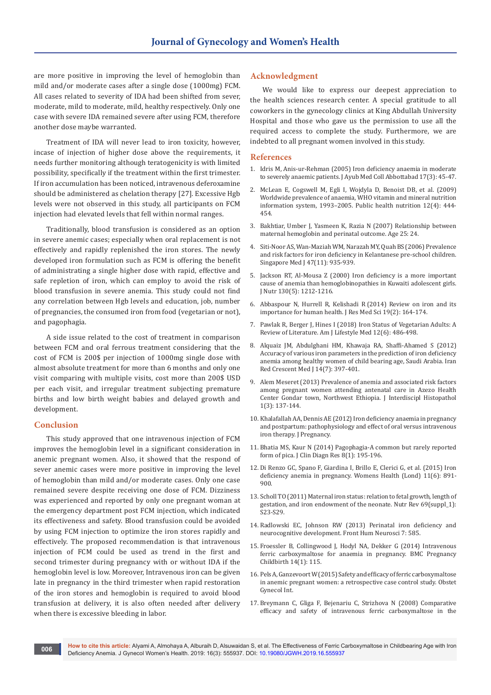are more positive in improving the level of hemoglobin than mild and/or moderate cases after a single dose (1000mg) FCM. All cases related to severity of IDA had been shifted from sever, moderate, mild to moderate, mild, healthy respectively. Only one case with severe IDA remained severe after using FCM, therefore another dose maybe warranted.

Treatment of IDA will never lead to iron toxicity, however, incase of injection of higher dose above the requirements, it needs further monitoring although teratogenicity is with limited possibility, specifically if the treatment within the first trimester. If iron accumulation has been noticed, intravenous deferoxamine should be administered as chelation therapy [27]. Excessive Hgb levels were not observed in this study, all participants on FCM injection had elevated levels that fell within normal ranges.

Traditionally, blood transfusion is considered as an option in severe anemic cases; especially when oral replacement is not effectively and rapidly replenished the iron stores. The newly developed iron formulation such as FCM is offering the benefit of administrating a single higher dose with rapid, effective and safe repletion of iron, which can employ to avoid the risk of blood transfusion in severe anemia. This study could not find any correlation between Hgb levels and education, job, number of pregnancies, the consumed iron from food (vegetarian or not), and pagophagia.

A side issue related to the cost of treatment in comparison between FCM and oral ferrous treatment considering that the cost of FCM is 200\$ per injection of 1000mg single dose with almost absolute treatment for more than 6 months and only one visit comparing with multiple visits, cost more than 200\$ USD per each visit, and irregular treatment subjecting premature births and low birth weight babies and delayed growth and development.

#### **Conclusion**

This study approved that one intravenous injection of FCM improves the hemoglobin level in a significant consideration in anemic pregnant women. Also, it showed that the respond of sever anemic cases were more positive in improving the level of hemoglobin than mild and/or moderate cases. Only one case remained severe despite receiving one dose of FCM. Dizziness was experienced and reported by only one pregnant woman at the emergency department post FCM injection, which indicated its effectiveness and safety. Blood transfusion could be avoided by using FCM injection to optimize the iron stores rapidly and effectively. The proposed recommendation is that intravenous injection of FCM could be used as trend in the first and second trimester during pregnancy with or without IDA if the hemoglobin level is low. Moreover, Intravenous iron can be given late in pregnancy in the third trimester when rapid restoration of the iron stores and hemoglobin is required to avoid blood transfusion at delivery, it is also often needed after delivery when there is excessive bleeding in labor.

### **Acknowledgment**

We would like to express our deepest appreciation to the health sciences research center. A special gratitude to all coworkers in the gynecology clinics at King Abdullah University Hospital and those who gave us the permission to use all the required access to complete the study. Furthermore, we are indebted to all pregnant women involved in this study.

#### **References**

- 1. Idris M, [Anis-ur-Rehman \(2005\) Iron deficiency anaemia in moderate](https://www.ncbi.nlm.nih.gov/pubmed/16320796)  [to severely anaemic patients. J Ayub Med Coll Abbottabad 17\(3\): 45-47.](https://www.ncbi.nlm.nih.gov/pubmed/16320796)
- 2. McLean E, Cogswell M, Egli I, Wojdyla D, [Benoist DB, et al. \(2009\)](https://www.ncbi.nlm.nih.gov/pubmed/18498676)  [Worldwide prevalence of anaemia, WHO vitamin and mineral nutrition](https://www.ncbi.nlm.nih.gov/pubmed/18498676)  [information system, 1993–2005. Public health nutrition 12\(4\): 444-](https://www.ncbi.nlm.nih.gov/pubmed/18498676) [454.](https://www.ncbi.nlm.nih.gov/pubmed/18498676)
- 3. Bakhtiar, Umber J, Yasmeen K, Razia N (2007) Relationship between maternal hemoglobin and perinatal outcome. Age 25: 24.
- 4. Siti-Noor AS, Wan-Maziah WM, Narazah MY, Quah BS (2006) Prevalence [and risk factors for iron deficiency in Kelantanese pre-school children.](https://www.ncbi.nlm.nih.gov/pubmed/17075659)  [Singapore Med J 47\(11\): 935-939.](https://www.ncbi.nlm.nih.gov/pubmed/17075659)
- 5. Jackson RT, [Al-Mousa Z \(2000\) Iron deficiency is a more important](https://www.ncbi.nlm.nih.gov/pubmed/10801921)  [cause of anemia than hemoglobinopathies in Kuwaiti adolescent girls.](https://www.ncbi.nlm.nih.gov/pubmed/10801921)  [J Nutr 130\(5\): 1212-1216.](https://www.ncbi.nlm.nih.gov/pubmed/10801921)
- 6. Abbaspour N, Hurrell R, Kelishadi R [\(2014\) Review on iron and its](https://www.ncbi.nlm.nih.gov/pubmed/24778671/)  [importance for human health. J Res Med Sci 19\(2\): 164-174.](https://www.ncbi.nlm.nih.gov/pubmed/24778671/)
- 7. Pawlak R, Berger J, [Hines I \(2018\) Iron Status of Vegetarian Adults: A](https://www.ncbi.nlm.nih.gov/pubmed/30783404/)  [Review of Literature. Am J Lifestyle Med 12\(6\): 486-498.](https://www.ncbi.nlm.nih.gov/pubmed/30783404/)
- 8. Alquaiz JM, Abdulghani HM, Khawaja RA, [Shaffi-Ahamed S \(2012\)](https://www.ncbi.nlm.nih.gov/pubmed/22997554/)  [Accuracy of various iron parameters in the prediction of iron deficiency](https://www.ncbi.nlm.nih.gov/pubmed/22997554/)  [anemia among healthy women of child bearing age, Saudi Arabia. Iran](https://www.ncbi.nlm.nih.gov/pubmed/22997554/)  [Red Crescent Med J 14\(7\): 397-401.](https://www.ncbi.nlm.nih.gov/pubmed/22997554/)
- 9. Alem Meseret (2013) Prevalence of anemia and associated risk factors among pregnant women attending antenatal care in Azezo Health Center Gondar town, Northwest Ethiopia. J Interdiscipl Histopathol 1(3): 137-144.
- 10. [Khalafallah AA, Dennis AE \(2012\) Iron deficiency anaemia in pregnancy](https://www.ncbi.nlm.nih.gov/pubmed/22792466)  [and postpartum: pathophysiology and effect of oral versus intravenous](https://www.ncbi.nlm.nih.gov/pubmed/22792466)  [iron therapy. J Pregnancy.](https://www.ncbi.nlm.nih.gov/pubmed/22792466)
- 11. [Bhatia MS, Kaur N \(2014\) Pagophagia-A common but rarely reported](https://www.ncbi.nlm.nih.gov/pubmed/24596772/)  [form of pica. J Clin Diagn Res 8\(1\): 195-196.](https://www.ncbi.nlm.nih.gov/pubmed/24596772/)
- 12. Di Renzo GC, Spano F, Giardina I, Brillo E, [Clerici G, et al. \(2015\) Iron](https://www.ncbi.nlm.nih.gov/pubmed/26472066)  [deficiency anemia in pregnancy. Womens Health \(Lond\) 11\(6\): 891-](https://www.ncbi.nlm.nih.gov/pubmed/26472066) [900.](https://www.ncbi.nlm.nih.gov/pubmed/26472066)
- 13. [Scholl TO \(2011\) Maternal iron status: relation to fetal growth, length of](https://www.ncbi.nlm.nih.gov/pubmed/22043878)  [gestation, and iron endowment of the neonate. Nutr Rev 69\(suppl\\_1\):](https://www.ncbi.nlm.nih.gov/pubmed/22043878)  [S23-S29.](https://www.ncbi.nlm.nih.gov/pubmed/22043878)
- 14. [Radlowski EC, Johnson RW \(2013\) Perinatal iron deficiency and](https://www.ncbi.nlm.nih.gov/pubmed/24065908/)  [neurocognitive development. Front Hum Neurosci 7: 585.](https://www.ncbi.nlm.nih.gov/pubmed/24065908/)
- 15. Froessler B, Collingwood J, Hodyl NA, [Dekker G \(2014\) Intravenous](https://www.ncbi.nlm.nih.gov/pubmed/24667031)  [ferric carboxymaltose for anaemia in pregnancy. BMC Pregnancy](https://www.ncbi.nlm.nih.gov/pubmed/24667031)  [Childbirth 14\(1\): 115.](https://www.ncbi.nlm.nih.gov/pubmed/24667031)
- 16. [Pels A, Ganzevoort W \(2015\) Safety and efficacy of ferric carboxymaltose](https://www.ncbi.nlm.nih.gov/pubmed/26688686)  [in anemic pregnant women: a retrospective case control study. Obstet](https://www.ncbi.nlm.nih.gov/pubmed/26688686)  [Gynecol Int.](https://www.ncbi.nlm.nih.gov/pubmed/26688686)
- 17. Breymann C, Gliga F, Bejenariu C, [Strizhova N \(2008\) Comparative](https://www.ncbi.nlm.nih.gov/pubmed/18234203)  [efficacy and safety of intravenous ferric carboxymaltose in the](https://www.ncbi.nlm.nih.gov/pubmed/18234203)